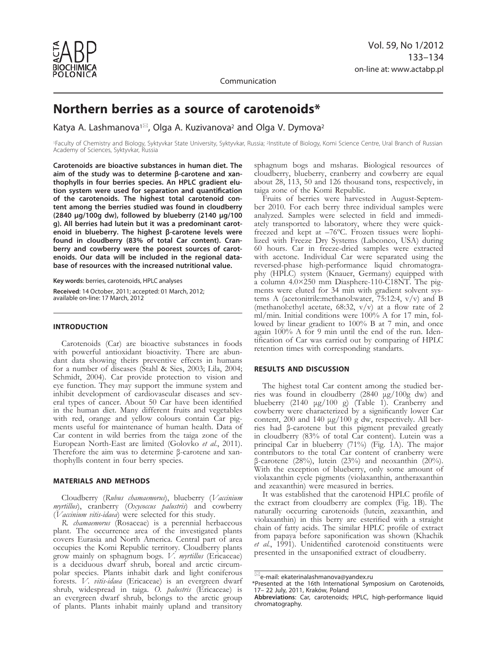

Communication

# **Northern berries as a source of carotenoids\***

Katya A. Lashmanova<sup>1 $\approx$ </sup>, Olga A. Kuzivanova<sup>2</sup> and Olga V. Dymova<sup>2</sup>

<sup>1</sup>Faculty of Chemistry and Biology, Syktyvkar State University, Syktyvkar, Russia; <sup>2</sup>Institute of Biology, Komi Science Centre, Ural Branch of Russian Academy of Sciences, Syktyvkar, Russia

**Carotenoids are bioactive substances in human diet. The aim of the study was to determine β-carotene and xanthophylls in four berries species. An HPLC gradient elution system were used for separation and quantification of the carotenoids. The highest total carotenoid content among the berries studied was found in cloudberry (2840 μg/100g dw), followed by blueberry (2140 μg/100 g). All berries had lutein but it was a predominant carotenoid in blueberry. The highest β-carotene levels were found in cloudberry (83% of total Car content). Cranberry and cowberry were the poorest sources of carotenoids. Our data will be included in the regional database of resources with the increased nutritional value.** 

**Key words**: berries, carotenoids, HPLC analyses

**Received**: 14 October, 2011; accepted: 01 March, 2012; available on-line: 17 March, 2012

# **INTRODUCTION**

Carotenoids (Car) are bioactive substances in foods with powerful antioxidant bioactivity. There are abundant data showing theirs preventive effects in humans for a number of diseases (Stahl & Sies, 2003; Lila, 2004; Schmidt, 2004). Car provide protection to vision and eye function. They may support the immune system and inhibit development of cardiovascular diseases and several types of cancer. About 50 Car have been identified in the human diet. Many different fruits and vegetables with red, orange and yellow colours contain Car pigments useful for maintenance of human health. Data of Car content in wild berries from the taiga zone of the European North-East are limited (Golovko et al., 2011). Therefore the aim was to determine β-carotene and xanthophylls content in four berry species.

#### **MATERIALS AND METHODS**

Cloudberry (*Rubus chamaemorus*), blueberry (*Vaccinium myrtillus*), cranberry (*Oxycoccus palustris*) and cowberry (*Vaccinium vitis-idaea*) were selected for this study.

*R. chamaemorus* (Rosaceae) is a perennial herbaceous plant. The occurrence area of the investigated plants covers Eurasia and North America. Central part of area occupies the Komi Republic territory. Cloudberry plants grow mainly on sphagnum bogs. *V. myrtillus* (Ericaceae) is a deciduous dwarf shrub, boreal and arctic circumpolar species. Plants inhabit dark and light coniferous forests. *V. vitis-idaea* (Ericaceae) is an evergreen dwarf shrub, widespread in taiga. *O. palustris* (Ericaceae) is an evergreen dwarf shrub, belongs to the arctic group of plants. Plants inhabit mainly upland and transitory

sphagnum bogs and msharas. Biological resources of cloudberry, blueberry, cranberry and cowberry are equal about 28, 113, 50 and 126 thousand tons, respectively, in taiga zone of the Komi Republic.

Fruits of berries were harvested in August-September 2010. For each berry three individual samples were analyzed. Samples were selected in field and immediately transported to laboratory, where they were quickfreezed and kept at –76ºC. Frozen tissues were liophilized with Freeze Dry Systems (Labconco, USA) during 60 hours. Car in freeze-dried samples were extracted with acetone. Individual Car were separated using the reversed-phase high-performance liquid chromatography (HPLC) system (Knauer, Germany) equipped with a column 4.0×250 mm Diasphere-110-C18NT. The pigments were eluted for 34 min with gradient solvent systems A (acetonitrile:methanol:water, 75:12:4, v/v) and B (methanol: ethyl acetate,  $68:32$ ,  $v/v$ ) at a flow rate of 2 ml/min. Initial conditions were 100% A for 17 min, followed by linear gradient to 100% B at 7 min, and once again 100% A for 9 min until the end of the run. Identification of Car was carried out by comparing of HPLC retention times with corresponding standarts.

## **RESULTS AND DISCUSSION**

The highest total Car content among the studied berries was found in cloudberry (2840 μg/100g dw) and blueberry (2140 μg/100 g) (Table 1). Cranberry and cowberry were characterized by a significantly lower Car content, 200 and 140 μg/100 g dw, respectively. All berries had β-carotene but this pigment prevailed greatly in cloudberry (83% of total Car content). Lutein was a principal Car in blueberry (71%) (Fig. 1A). The major contributors to the total Car content of cranberry were β-carotene (28%), lutein (23%) and neoxanthin (20%). With the exception of blueberry, only some amount of violaxanthin cycle pigments (violaxanthin, antheraxanthin and zeaxanthin) were measured in berries.

It was established that the carotenoid HPLC profile of the extract from cloudberry are complex (Fig. 1B). The naturally occurring carotenoids (lutein, zeaxanthin, and violaxanthin) in this berry are esterified with a straight chain of fatty acids. The similar HPLC profile of extract from papaya before saponification was shown (Khachik et al., 1991). Unidentified carotenoid constituents were presented in the unsaponified extract of cloudberry.

 $\mathbb{E}_{\mathsf{e}}$ -mail: ekaterinalashmanova@yandex.ru

<sup>\*</sup>Presented at the 16th International Symposium on Carotenoids, 17– 22 July, 2011, Kraków, Poland

**Abbreviations**: Car, carotenoids; HPLC, high-performance liquid chromatography.